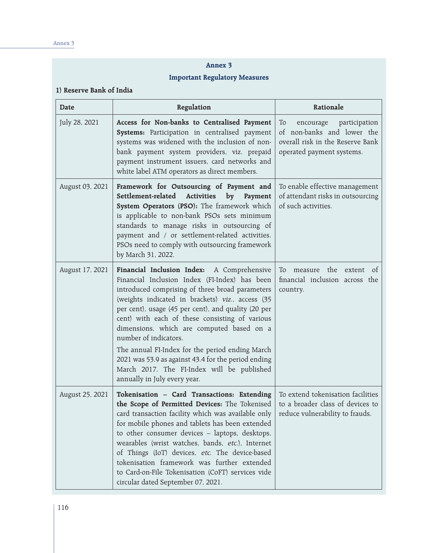#### **Annex 3**

#### **Important Regulatory Measures**

#### **1) Reserve Bank of India**

| Date            | Regulation                                                                                                                                                                                                                                                                                                                                                                                                                                                                                                                                                                | Rationale                                                                                                                       |
|-----------------|---------------------------------------------------------------------------------------------------------------------------------------------------------------------------------------------------------------------------------------------------------------------------------------------------------------------------------------------------------------------------------------------------------------------------------------------------------------------------------------------------------------------------------------------------------------------------|---------------------------------------------------------------------------------------------------------------------------------|
| July 28, 2021   | Access for Non-banks to Centralised Payment<br>Systems: Participation in centralised payment<br>systems was widened with the inclusion of non-<br>bank payment system providers, viz. prepaid<br>payment instrument issuers, card networks and<br>white label ATM operators as direct members.                                                                                                                                                                                                                                                                            | To<br>encourage<br>participation<br>of non-banks and lower the<br>overall risk in the Reserve Bank<br>operated payment systems. |
| August 03, 2021 | Framework for Outsourcing of Payment and<br>Settlement-related<br><b>Activities</b><br>by<br>Payment<br>System Operators (PSO): The framework which<br>is applicable to non-bank PSOs sets minimum<br>standards to manage risks in outsourcing of<br>payment and / or settlement-related activities.<br>PSOs need to comply with outsourcing framework<br>by March 31, 2022.                                                                                                                                                                                              | To enable effective management<br>of attendant risks in outsourcing<br>of such activities.                                      |
| August 17, 2021 | Financial Inclusion Index: A Comprehensive<br>Financial Inclusion Index (FI-Index) has been<br>introduced comprising of three broad parameters<br>(weights indicated in brackets) viz., access (35<br>per cent), usage (45 per cent), and quality (20 per<br>cent) with each of these consisting of various<br>dimensions, which are computed based on a<br>number of indicators.<br>The annual FI-Index for the period ending March<br>2021 was 53.9 as against 43.4 for the period ending<br>March 2017. The FI-Index will be published<br>annually in July every year. | the<br>To<br>measure<br>extent<br><sub>of</sub><br>financial inclusion across the<br>country.                                   |
| August 25, 2021 | Tokenisation - Card Transactions: Extending<br>the Scope of Permitted Devices: The Tokenised<br>card transaction facility which was available only<br>for mobile phones and tablets has been extended<br>to other consumer devices - laptops, desktops,<br>wearables (wrist watches, bands, etc.), Internet<br>of Things (IoT) devices, etc. The device-based<br>tokenisation framework was further extended<br>to Card-on-File Tokenisation (CoFT) services vide<br>circular dated September 07, 2021.                                                                   | To extend tokenisation facilities<br>to a broader class of devices to<br>reduce vulnerability to frauds.                        |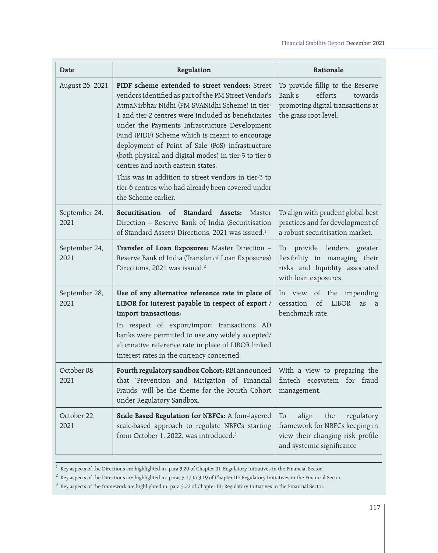| Date                  | Regulation                                                                                                                                                                                                                                                                                                                                                                                                                                                                                                                                                                                               | Rationale                                                                                                                           |
|-----------------------|----------------------------------------------------------------------------------------------------------------------------------------------------------------------------------------------------------------------------------------------------------------------------------------------------------------------------------------------------------------------------------------------------------------------------------------------------------------------------------------------------------------------------------------------------------------------------------------------------------|-------------------------------------------------------------------------------------------------------------------------------------|
| August 26, 2021       | PIDF scheme extended to street vendors: Street<br>vendors identified as part of the PM Street Vendor's<br>AtmaNirbhar Nidhi (PM SVANidhi Scheme) in tier-<br>1 and tier-2 centres were included as beneficiaries<br>under the Payments Infrastructure Development<br>Fund (PIDF) Scheme which is meant to encourage<br>deployment of Point of Sale (PoS) infrastructure<br>(both physical and digital modes) in tier-3 to tier-6<br>centres and north eastern states.<br>This was in addition to street vendors in tier-3 to<br>tier-6 centres who had already been covered under<br>the Scheme earlier. | To provide fillip to the Reserve<br>efforts<br>Bank's<br>towards<br>promoting digital transactions at<br>the grass root level.      |
| September 24,<br>2021 | Standard Assets:<br>Securitisation of<br>Master<br>Direction - Reserve Bank of India (Securitisation<br>of Standard Assets) Directions, 2021 was issued. <sup>1</sup>                                                                                                                                                                                                                                                                                                                                                                                                                                    | To align with prudent global best<br>practices and for development of<br>a robust securitisation market.                            |
| September 24,<br>2021 | Transfer of Loan Exposures: Master Direction -<br>Reserve Bank of India (Transfer of Loan Exposures)<br>Directions, 2021 was issued. <sup>2</sup>                                                                                                                                                                                                                                                                                                                                                                                                                                                        | provide lenders<br>greater<br>To<br>flexibility in managing their<br>risks and liquidity associated<br>with loan exposures.         |
| September 28,<br>2021 | Use of any alternative reference rate in place of<br>LIBOR for interest payable in respect of export /<br>import transactions:<br>In respect of export/import transactions AD<br>banks were permitted to use any widely accepted/<br>alternative reference rate in place of LIBOR linked<br>interest rates in the currency concerned.                                                                                                                                                                                                                                                                    | In view of the impending<br>of<br><b>LIBOR</b><br>cessation<br>as<br>a<br>benchmark rate.                                           |
| October 08,<br>2021   | Fourth regulatory sandbox Cohort: RBI announced<br>that 'Prevention and Mitigation of Financial<br>Frauds' will be the theme for the Fourth Cohort<br>under Regulatory Sandbox.                                                                                                                                                                                                                                                                                                                                                                                                                          | With a view to preparing the<br>fintech ecosystem for fraud<br>management.                                                          |
| October 22,<br>2021   | Scale Based Regulation for NBFCs: A four-layered<br>scale-based approach to regulate NBFCs starting<br>from October 1, 2022, was introduced. <sup>3</sup>                                                                                                                                                                                                                                                                                                                                                                                                                                                | the<br>To<br>align<br>regulatory<br>framework for NBFCs keeping in<br>view their changing risk profile<br>and systemic significance |

 $^{\rm 1}$  Key aspects of the Directions are highlighted in para 3.20 of Chapter III: Regulatory Initiatives in the Financial Sector.

 $^2$  Key aspects of the Directions are highlighted in paras 3.17 to 3.19 of Chapter III: Regulatory Initiatives in the Financial Sector.

 $^3$  Key aspects of the framework are highlighted in para 3.22 of Chapter III: Regulatory Initiatives in the Financial Sector.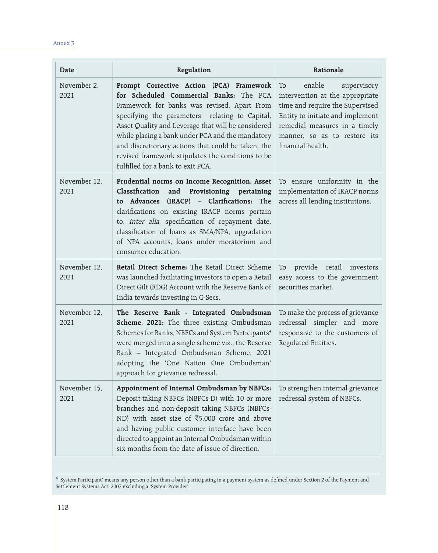| Date                 | Regulation                                                                                                                                                                                                                                                                                                                                                                                                                                     | Rationale                                                                                                                                                                                                                   |
|----------------------|------------------------------------------------------------------------------------------------------------------------------------------------------------------------------------------------------------------------------------------------------------------------------------------------------------------------------------------------------------------------------------------------------------------------------------------------|-----------------------------------------------------------------------------------------------------------------------------------------------------------------------------------------------------------------------------|
| November 2,<br>2021  | Prompt Corrective Action (PCA) Framework<br>for Scheduled Commercial Banks: The PCA<br>Framework for banks was revised. Apart From<br>specifying the parameters relating to Capital,<br>Asset Quality and Leverage that will be considered<br>while placing a bank under PCA and the mandatory<br>and discretionary actions that could be taken, the<br>revised framework stipulates the conditions to be<br>fulfilled for a bank to exit PCA. | enable<br>supervisory<br>To<br>intervention at the appropriate<br>time and require the Supervised<br>Entity to initiate and implement<br>remedial measures in a timely<br>manner, so as to restore its<br>financial health. |
| November 12,<br>2021 | Prudential norms on Income Recognition, Asset<br>Classification<br>and Provisioning pertaining<br>to Advances (IRACP) - Clarifications: The<br>clarifications on existing IRACP norms pertain<br>to, inter alia, specification of repayment date,<br>classification of loans as SMA/NPA, upgradation<br>of NPA accounts, loans under moratorium and<br>consumer education.                                                                     | To ensure uniformity in the<br>implementation of IRACP norms<br>across all lending institutions.                                                                                                                            |
| November 12,<br>2021 | Retail Direct Scheme: The Retail Direct Scheme<br>was launched facilitating investors to open a Retail<br>Direct Gilt (RDG) Account with the Reserve Bank of<br>India towards investing in G-Secs.                                                                                                                                                                                                                                             | provide retail investors<br>To<br>easy access to the government<br>securities market.                                                                                                                                       |
| November 12,<br>2021 | The Reserve Bank - Integrated Ombudsman<br>Scheme, 2021: The three existing Ombudsman<br>Schemes for Banks, NBFCs and System Participants <sup>4</sup><br>were merged into a single scheme viz., the Reserve<br>Bank - Integrated Ombudsman Scheme, 2021<br>adopting the 'One Nation One Ombudsman'<br>approach for grievance redressal.                                                                                                       | To make the process of grievance<br>redressal simpler and more<br>responsive to the customers of<br>Regulated Entities.                                                                                                     |
| November 15,<br>2021 | Appointment of Internal Ombudsman by NBFCs:<br>Deposit-taking NBFCs (NBFCs-D) with 10 or more<br>branches and non-deposit taking NBFCs (NBFCs-<br>ND) with asset size of $\overline{5,000}$ crore and above<br>and having public customer interface have been<br>directed to appoint an Internal Ombudsman within<br>six months from the date of issue of direction.                                                                           | To strengthen internal grievance<br>redressal system of NBFCs.                                                                                                                                                              |

 $^4\,$  System Participant' means any person other than a bank participating in a payment system as defined under Section 2 of the Payment and Settlement Systems Act, 2007 excluding a 'System Provider'.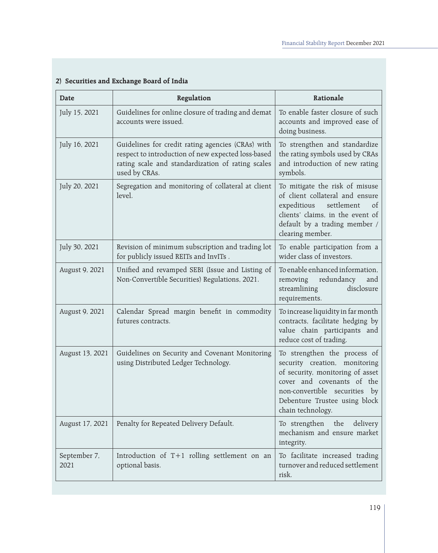| Date                 | Regulation                                                                                                                                                                    | Rationale                                                                                                                                                                                                                 |
|----------------------|-------------------------------------------------------------------------------------------------------------------------------------------------------------------------------|---------------------------------------------------------------------------------------------------------------------------------------------------------------------------------------------------------------------------|
| July 15, 2021        | Guidelines for online closure of trading and demat<br>accounts were issued.                                                                                                   | To enable faster closure of such<br>accounts and improved ease of<br>doing business.                                                                                                                                      |
| July 16, 2021        | Guidelines for credit rating agencies (CRAs) with<br>respect to introduction of new expected loss-based<br>rating scale and standardization of rating scales<br>used by CRAs. | To strengthen and standardize<br>the rating symbols used by CRAs<br>and introduction of new rating<br>symbols.                                                                                                            |
| July 20, 2021        | Segregation and monitoring of collateral at client<br>level.                                                                                                                  | To mitigate the risk of misuse<br>of client collateral and ensure<br>expeditious<br>settlement<br><sub>of</sub><br>clients' claims, in the event of<br>default by a trading member /<br>clearing member.                  |
| July 30, 2021        | Revision of minimum subscription and trading lot<br>for publicly issued REITs and InvITs.                                                                                     | To enable participation from a<br>wider class of investors.                                                                                                                                                               |
| August 9, 2021       | Unified and revamped SEBI (Issue and Listing of<br>Non-Convertible Securities) Regulations, 2021.                                                                             | To enable enhanced information,<br>removing redundancy<br>and<br>streamlining<br>disclosure<br>requirements.                                                                                                              |
| August 9, 2021       | Calendar Spread margin benefit in commodity<br>futures contracts.                                                                                                             | To increase liquidity in far month<br>contracts, facilitate hedging by<br>value chain participants and<br>reduce cost of trading.                                                                                         |
| August 13, 2021      | Guidelines on Security and Covenant Monitoring<br>using Distributed Ledger Technology.                                                                                        | To strengthen the process of<br>security creation, monitoring<br>of security, monitoring of asset<br>cover and covenants of the<br>non-convertible securities<br>by<br>Debenture Trustee using block<br>chain technology. |
| August 17, 2021      | Penalty for Repeated Delivery Default.                                                                                                                                        | the<br>To strengthen<br>delivery<br>mechanism and ensure market<br>integrity.                                                                                                                                             |
| September 7,<br>2021 | Introduction of T+1 rolling settlement on an<br>optional basis.                                                                                                               | To facilitate increased trading<br>turnover and reduced settlement<br>risk.                                                                                                                                               |

# **2) Securities and Exchange Board of India**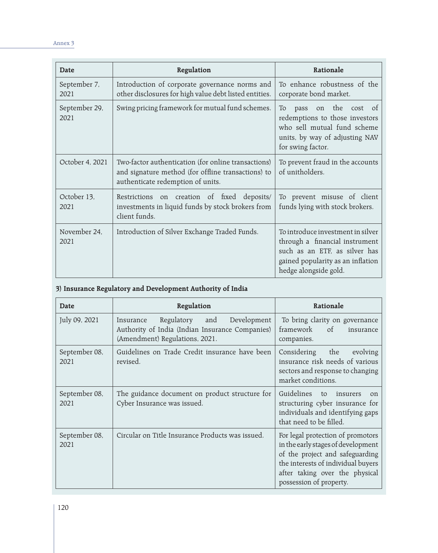| Date                  | Regulation                                                                                                                                     | Rationale                                                                                                                                                          |
|-----------------------|------------------------------------------------------------------------------------------------------------------------------------------------|--------------------------------------------------------------------------------------------------------------------------------------------------------------------|
| September 7,<br>2021  | Introduction of corporate governance norms and<br>other disclosures for high value debt listed entities.                                       | To enhance robustness of the<br>corporate bond market.                                                                                                             |
| September 29,<br>2021 | Swing pricing framework for mutual fund schemes.                                                                                               | on the<br>cost of<br>To<br>pass<br>redemptions to those investors<br>who sell mutual fund scheme<br>units, by way of adjusting NAV<br>for swing factor.            |
| October 4, 2021       | Two-factor authentication (for online transactions)<br>and signature method (for offline transactions) to<br>authenticate redemption of units. | To prevent fraud in the accounts<br>of unitholders.                                                                                                                |
| October 13,<br>2021   | Restrictions on creation of fixed deposits/<br>investments in liquid funds by stock brokers from<br>client funds.                              | To prevent misuse of client<br>funds lying with stock brokers.                                                                                                     |
| November 24,<br>2021  | Introduction of Silver Exchange Traded Funds.                                                                                                  | To introduce investment in silver<br>through a financial instrument<br>such as an ETF, as silver has<br>gained popularity as an inflation<br>hedge alongside gold. |

# **3) Insurance Regulatory and Development Authority of India**

| Date                  | Regulation                                                                                                                         | Rationale                                                                                                                                                                                                     |
|-----------------------|------------------------------------------------------------------------------------------------------------------------------------|---------------------------------------------------------------------------------------------------------------------------------------------------------------------------------------------------------------|
| July 09, 2021         | Regulatory<br>and<br>Development<br>Insurance<br>Authority of India (Indian Insurance Companies)<br>(Amendment) Regulations, 2021. | To bring clarity on governance<br>framework<br><sub>of</sub><br>insurance<br>companies.                                                                                                                       |
| September 08,<br>2021 | Guidelines on Trade Credit insurance have been<br>revised.                                                                         | Considering<br>the<br>evolving<br>insurance risk needs of various<br>sectors and response to changing<br>market conditions.                                                                                   |
| September 08,<br>2021 | The guidance document on product structure for<br>Cyber Insurance was issued.                                                      | Guidelines<br>to<br>insurers<br><sub>on</sub><br>structuring cyber insurance for<br>individuals and identifying gaps<br>that need to be filled.                                                               |
| September 08,<br>2021 | Circular on Title Insurance Products was issued.                                                                                   | For legal protection of promotors<br>in the early stages of development<br>of the project and safeguarding<br>the interests of individual buyers<br>after taking over the physical<br>possession of property. |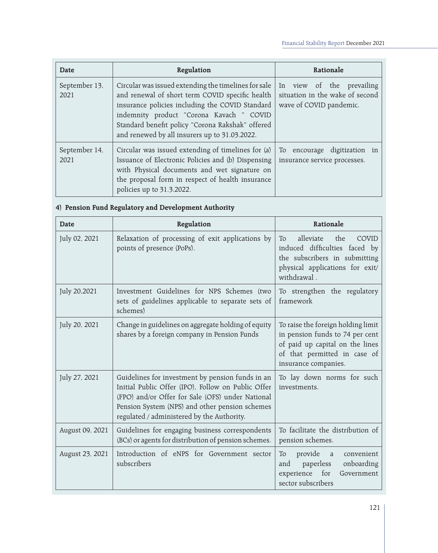| <b>Date</b>           | Regulation                                                                                                                                                                                                                                                                                                  | Rationale                                                                               |
|-----------------------|-------------------------------------------------------------------------------------------------------------------------------------------------------------------------------------------------------------------------------------------------------------------------------------------------------------|-----------------------------------------------------------------------------------------|
| September 13,<br>2021 | Circular was issued extending the timelines for sale<br>and renewal of short term COVID specific health<br>insurance policies including the COVID Standard<br>indemnity product "Corona Kavach " COVID<br>Standard benefit policy "Corona Rakshak" offered<br>and renewed by all insurers up to 31.03.2022. | In view of the prevailing<br>situation in the wake of second<br>wave of COVID pandemic. |
| September 14,<br>2021 | Circular was issued extending of timelines for (a)<br>Issuance of Electronic Policies and (b) Dispensing<br>with Physical documents and wet signature on<br>the proposal form in respect of health insurance<br>policies up to 31.3.2022.                                                                   | To encourage digitization in<br>insurance service processes.                            |

# **4) Pension Fund Regulatory and Development Authority**

| <b>Date</b>     | Regulation                                                                                                                                                                                                                                                 | Rationale                                                                                                                                                        |
|-----------------|------------------------------------------------------------------------------------------------------------------------------------------------------------------------------------------------------------------------------------------------------------|------------------------------------------------------------------------------------------------------------------------------------------------------------------|
| July 02, 2021   | Relaxation of processing of exit applications by<br>points of presence (PoPs).                                                                                                                                                                             | alleviate<br>the<br>To<br>COVID<br>induced difficulties faced by<br>the subscribers in submitting<br>physical applications for exit/<br>withdrawal.              |
| July 20,2021    | Investment Guidelines for NPS Schemes (two<br>sets of guidelines applicable to separate sets of<br>schemes)                                                                                                                                                | To strengthen the regulatory<br>framework                                                                                                                        |
| July 20, 2021   | Change in guidelines on aggregate holding of equity<br>shares by a foreign company in Pension Funds                                                                                                                                                        | To raise the foreign holding limit<br>in pension funds to 74 per cent<br>of paid up capital on the lines<br>of that permitted in case of<br>insurance companies. |
| July 27, 2021   | Guidelines for investment by pension funds in an<br>Initial Public Offer (IPO), Follow on Public Offer<br>(FPO) and/or Offer for Sale (OFS) under National<br>Pension System (NPS) and other pension schemes<br>regulated / administered by the Authority. | To lay down norms for such<br>investments.                                                                                                                       |
| August 09, 2021 | Guidelines for engaging business correspondents<br>(BCs) or agents for distribution of pension schemes.                                                                                                                                                    | To facilitate the distribution of<br>pension schemes.                                                                                                            |
| August 23, 2021 | Introduction of eNPS for Government sector<br>subscribers                                                                                                                                                                                                  | provide<br>To<br>a<br>convenient<br>paperless<br>onboarding<br>and<br>for<br>experience<br>Government<br>sector subscribers                                      |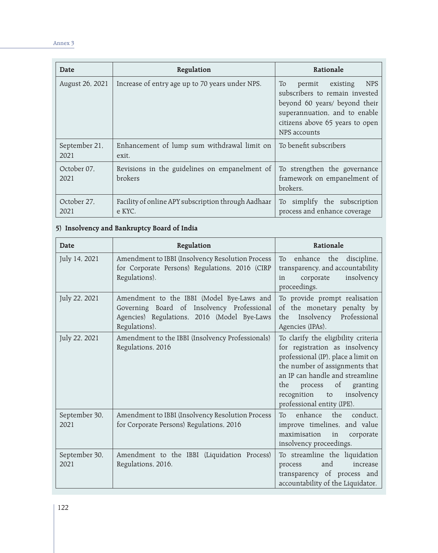| Date                  | Regulation                                                    | Rationale                                                                                                                                                                                     |
|-----------------------|---------------------------------------------------------------|-----------------------------------------------------------------------------------------------------------------------------------------------------------------------------------------------|
| August 26, 2021       | Increase of entry age up to 70 years under NPS.               | <b>NPS</b><br>To<br>existing<br>permit<br>subscribers to remain invested<br>beyond 60 years/ beyond their<br>superannuation, and to enable<br>citizens above 65 years to open<br>NPS accounts |
| September 21,<br>2021 | Enhancement of lump sum withdrawal limit on<br>exit.          | To benefit subscribers                                                                                                                                                                        |
| October 07,<br>2021   | Revisions in the guidelines on empanelment of<br>brokers      | To strengthen the governance<br>framework on empanelment of<br>brokers.                                                                                                                       |
| October 27.<br>2021   | Facility of online APY subscription through Aadhaar<br>e KYC. | To simplify the subscription<br>process and enhance coverage                                                                                                                                  |

#### **5) Insolvency and Bankruptcy Board of India**

| Date                  | Regulation                                                                                                                                              | Rationale                                                                                                                                                                                                                                                                                  |
|-----------------------|---------------------------------------------------------------------------------------------------------------------------------------------------------|--------------------------------------------------------------------------------------------------------------------------------------------------------------------------------------------------------------------------------------------------------------------------------------------|
| July 14, 2021         | Amendment to IBBI (Insolvency Resolution Process<br>for Corporate Persons) Regulations, 2016 (CIRP<br>Regulations).                                     | enhance the<br>discipline,<br>To<br>transparency, and accountability<br>insolvency<br>corporate<br>in<br>proceedings.                                                                                                                                                                      |
| July 22, 2021         | Amendment to the IBBI (Model Bye-Laws and<br>Governing Board of Insolvency Professional<br>Agencies) Regulations, 2016 (Model Bye-Laws<br>Regulations). | To provide prompt realisation<br>of the monetary penalty by<br>Insolvency Professional<br>the<br>Agencies (IPAs).                                                                                                                                                                          |
| July 22, 2021         | Amendment to the IBBI (Insolvency Professionals)<br>Regulations, 2016                                                                                   | To clarify the eligibility criteria<br>for registration as insolvency<br>professional (IP), place a limit on<br>the number of assignments that<br>an IP can handle and streamline<br>$\circ$ f<br>the<br>process<br>granting<br>insolvency<br>recognition to<br>professional entity (IPE). |
| September 30,<br>2021 | Amendment to IBBI (Insolvency Resolution Process<br>for Corporate Persons) Regulations, 2016                                                            | enhance the<br>conduct.<br>To<br>improve timelines, and value<br>maximisation<br>in<br>corporate<br>insolvency proceedings.                                                                                                                                                                |
| September 30,<br>2021 | Amendment to the IBBI (Liquidation Process)<br>Regulations, 2016.                                                                                       | To streamline the liquidation<br>and<br>increase<br>process<br>transparency of process and<br>accountability of the Liquidator.                                                                                                                                                            |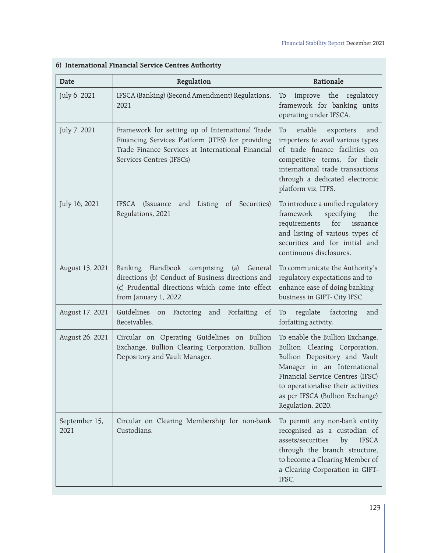| <b>Date</b>           | Regulation                                                                                                                                                                           | Rationale                                                                                                                                                                                                                                                         |
|-----------------------|--------------------------------------------------------------------------------------------------------------------------------------------------------------------------------------|-------------------------------------------------------------------------------------------------------------------------------------------------------------------------------------------------------------------------------------------------------------------|
| July 6, 2021          | IFSCA (Banking) (Second Amendment) Regulations,<br>2021                                                                                                                              | improve the regulatory<br>To<br>framework for banking units<br>operating under IFSCA.                                                                                                                                                                             |
| July 7, 2021          | Framework for setting up of International Trade<br>Financing Services Platform (ITFS) for providing<br>Trade Finance Services at International Financial<br>Services Centres (IFSCs) | enable<br>exporters<br>To<br>and<br>importers to avail various types<br>of trade finance facilities on<br>competitive terms, for their<br>international trade transactions<br>through a dedicated electronic<br>platform viz, ITFS.                               |
| July 16, 2021         | IFSCA (Issuance<br>and Listing of Securities)<br>Regulations, 2021                                                                                                                   | To introduce a unified regulatory<br>framework<br>specifying<br>the<br>for<br>requirements<br>issuance<br>and listing of various types of<br>securities and for initial and<br>continuous disclosures.                                                            |
| August 13, 2021       | Banking Handbook comprising (a) General<br>directions (b) Conduct of Business directions and<br>(c) Prudential directions which come into effect<br>from January 1, 2022.            | To communicate the Authority's<br>regulatory expectations and to<br>enhance ease of doing banking<br>business in GIFT- City IFSC.                                                                                                                                 |
| August 17, 2021       | Guidelines on Factoring and Forfaiting of<br>Receivables.                                                                                                                            | regulate factoring<br>To<br>and<br>forfaiting activity.                                                                                                                                                                                                           |
| August 26, 2021       | Circular on Operating Guidelines on Bullion<br>Exchange, Bullion Clearing Corporation, Bullion<br>Depository and Vault Manager.                                                      | To enable the Bullion Exchange,<br>Bullion Clearing Corporation,<br>Bullion Depository and Vault<br>Manager in an International<br>Financial Service Centres (IFSC)<br>to operationalise their activities<br>as per IFSCA (Bullion Exchange)<br>Regulation, 2020. |
| September 15,<br>2021 | Circular on Clearing Membership for non-bank<br>Custodians.                                                                                                                          | To permit any non-bank entity<br>recognised as a custodian of<br>assets/securities<br>by<br><b>IFSCA</b><br>through the branch structure,<br>to become a Clearing Member of<br>a Clearing Corporation in GIFT-<br>IFSC.                                           |

# **6) International Financial Service Centres Authority**